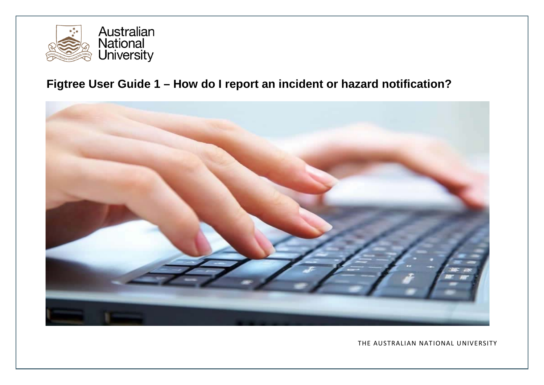

# **Figtree User Guide 1 – How do I report an incident or hazard notification?**



THE AUSTRALIAN NATIONAL UNIVERSITY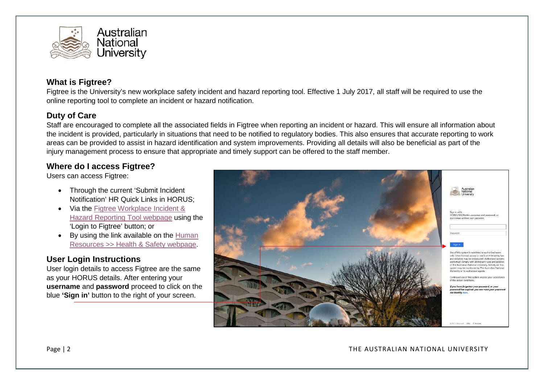

## **What is Figtree?**

Figtree is the University's new workplace safety incident and hazard reporting tool. Effective 1 July 2017, all staff will be required to use the online reporting tool to complete an incident or hazard notification.

### **Duty of Care**

Staff are encouraged to complete all the associated fields in Figtree when reporting an incident or hazard. This will ensure all information about the incident is provided, particularly in situations that need to be notified to regulatory bodies. This also ensures that accurate reporting to work areas can be provided to assist in hazard identification and system improvements. Providing all details will also be beneficial as part of the injury management process to ensure that appropriate and timely support can be offered to the staff member.

## **Where do I access Figtree?**

Users can access Figtree:

- Through the current 'Submit Incident Notification' HR Quick Links in HORUS;
- Via the [Figtree Workplace](https://services.anu.edu.au/information-technology/software-systems/figtree-workplace-safety-incident-hazard-reporting-tool) Incident & [Hazard Reporting Tool webpage](https://services.anu.edu.au/information-technology/software-systems/figtree-workplace-safety-incident-hazard-reporting-tool) using the 'Login to Figtree' button; or
- By using the link available on the [Human](https://services.anu.edu.au/human-resources/health-safety)  [Resources >> Health & Safety webpage.](https://services.anu.edu.au/human-resources/health-safety)

## **User Login Instructions**

User login details to access Figtree are the same as your HORUS details. After entering your **username** and **password** proceed to click on the blue **'Sign in'** button to the right of your screen.

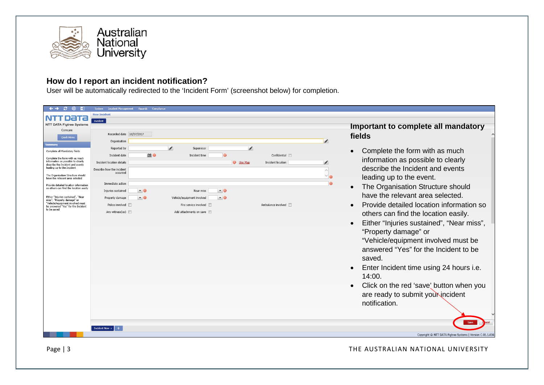

# **How do I report an incident notification?**

User will be automatically redirected to the 'Incident Form' (screenshot below) for completion.

| B.<br>$\leftarrow$ $\rightarrow$<br>÷                                                                    | System Incident Management Hazards Compliance |                                     |                          |           |                                                           |
|----------------------------------------------------------------------------------------------------------|-----------------------------------------------|-------------------------------------|--------------------------|-----------|-----------------------------------------------------------|
| NTT DATA                                                                                                 | <b>New Incident</b>                           |                                     |                          |           |                                                           |
| <b>NTT DATA Figtree Systems</b>                                                                          | Incident                                      |                                     |                          |           |                                                           |
| Comcare                                                                                                  |                                               |                                     |                          |           | Important to complete all mandatory                       |
| <b>Quick Menu</b>                                                                                        | Recorded date 10/07/2017                      |                                     |                          | fields    |                                                           |
|                                                                                                          | Organisation                                  |                                     |                          | ◢         |                                                           |
| mmary<br>Complete all Mandatory fields                                                                   | Reported by                                   | ◢<br>Supervisor                     | ◢                        | $\bullet$ | Complete the form with as much                            |
|                                                                                                          | Incident date                                 | mo.<br>Incident time                | Confidential             |           |                                                           |
| Complete the form with as much<br>information as possible to clearly<br>describe the Incident and events | Incident location details                     | <b>Use Map</b>                      | <b>Incident location</b> |           | information as possible to clearly                        |
| leading up to the Incident                                                                               | Describe how the incident                     |                                     |                          |           | describe the Incident and events                          |
| The Organisation Structure should                                                                        | occurred                                      |                                     |                          |           | leading up to the event.                                  |
| have the relevant area selected                                                                          | Immediate action                              |                                     |                          | $\bullet$ |                                                           |
| Provide detailed location information<br>so others can find the location easily                          | Injuries sustained<br>$\cdot$ 0               | $\blacksquare$<br>Near miss         |                          | $\bullet$ | The Organisation Structure should                         |
| Either "Injuries sustained", "Near                                                                       | $\cdot$ 0<br>Property damage                  | $-$ 0<br>Vehicle/equipment involved |                          |           | have the relevant area selected.                          |
| miss", "Property damage" or<br>"Vehicle/equipment involved must                                          |                                               |                                     |                          |           |                                                           |
| be answered "Yes" for the Incident<br>to be saved                                                        | Police involved F                             | Fire service involved               | Ambulance involved       |           | Provide detailed location information so                  |
|                                                                                                          | Any witness(es)                               | Add attachments on save             |                          |           | others can find the location easily.                      |
|                                                                                                          |                                               |                                     |                          |           | Either "Injuries sustained", "Near miss",                 |
|                                                                                                          |                                               |                                     |                          |           | "Property damage" or                                      |
|                                                                                                          |                                               |                                     |                          |           | "Vehicle/equipment involved must be                       |
|                                                                                                          |                                               |                                     |                          |           |                                                           |
|                                                                                                          |                                               |                                     |                          |           | answered "Yes" for the Incident to be                     |
|                                                                                                          |                                               |                                     |                          |           | saved.                                                    |
|                                                                                                          |                                               |                                     |                          |           |                                                           |
|                                                                                                          |                                               |                                     |                          | $\bullet$ | Enter Incident time using 24 hours i.e.                   |
|                                                                                                          |                                               |                                     |                          |           | 14:00.                                                    |
|                                                                                                          |                                               |                                     |                          |           | Click on the red 'save' button when you                   |
|                                                                                                          |                                               |                                     |                          |           |                                                           |
|                                                                                                          |                                               |                                     |                          |           | are ready to submit your incident                         |
|                                                                                                          |                                               |                                     |                          |           | notification.                                             |
|                                                                                                          |                                               |                                     |                          |           |                                                           |
|                                                                                                          |                                               |                                     |                          |           |                                                           |
|                                                                                                          |                                               |                                     |                          |           |                                                           |
|                                                                                                          | Incident New $\times$                         |                                     |                          |           | Copyright © NTT DATA Figtree Systems   Version C-01.1.036 |
|                                                                                                          |                                               |                                     |                          |           |                                                           |

Page | 3 THE AUSTRALIAN NATIONAL UNIVERSITY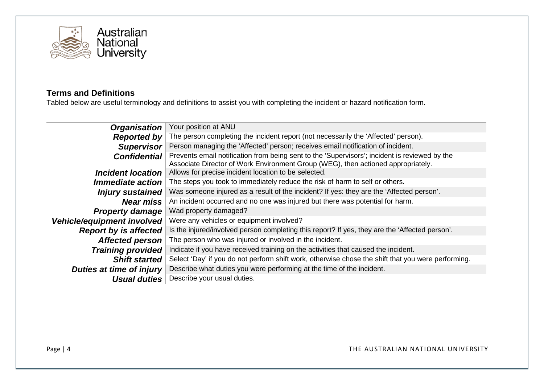

## **Terms and Definitions**

Tabled below are useful terminology and definitions to assist you with completing the incident or hazard notification form.

| <b>Organisation</b>          | Your position at ANU                                                                                                                                                              |  |  |
|------------------------------|-----------------------------------------------------------------------------------------------------------------------------------------------------------------------------------|--|--|
| <b>Reported by</b>           | The person completing the incident report (not necessarily the 'Affected' person).                                                                                                |  |  |
| <b>Supervisor</b>            | Person managing the 'Affected' person; receives email notification of incident.                                                                                                   |  |  |
| <b>Confidential</b>          | Prevents email notification from being sent to the 'Supervisors'; incident is reviewed by the<br>Associate Director of Work Environment Group (WEG), then actioned appropriately. |  |  |
| <b>Incident location</b>     | Allows for precise incident location to be selected.                                                                                                                              |  |  |
| Immediate action             | The steps you took to immediately reduce the risk of harm to self or others.                                                                                                      |  |  |
| <b>Injury sustained</b>      | Was someone injured as a result of the incident? If yes: they are the 'Affected person'.                                                                                          |  |  |
| <b>Near miss</b>             | An incident occurred and no one was injured but there was potential for harm.                                                                                                     |  |  |
| <b>Property damage</b>       | Wad property damaged?                                                                                                                                                             |  |  |
| Vehicle/equipment involved   | Were any vehicles or equipment involved?                                                                                                                                          |  |  |
| <b>Report by is affected</b> | Is the injured/involved person completing this report? If yes, they are the 'Affected person'.                                                                                    |  |  |
| <b>Affected person</b>       | The person who was injured or involved in the incident.                                                                                                                           |  |  |
| <b>Training provided</b>     | Indicate if you have received training on the activities that caused the incident.                                                                                                |  |  |
| <b>Shift started</b>         | Select 'Day' if you do not perform shift work, otherwise chose the shift that you were performing.                                                                                |  |  |
| Duties at time of injury     | Describe what duties you were performing at the time of the incident.                                                                                                             |  |  |
| <b>Usual duties</b>          | Describe your usual duties.                                                                                                                                                       |  |  |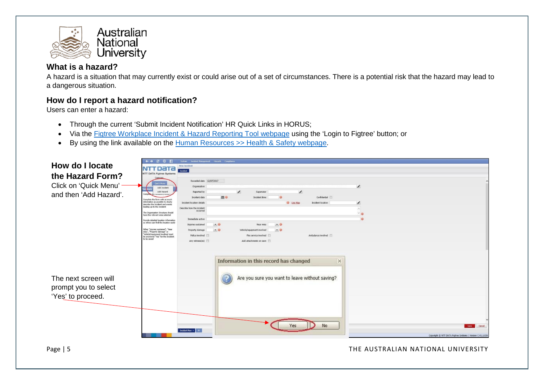

## **What is a hazard?**

A hazard is a situation that may currently exist or could arise out of a set of circumstances. There is a potential risk that the hazard may lead to a dangerous situation.

### **How do I report a hazard notification?**

Users can enter a hazard:

- Through the current 'Submit Incident Notification' HR Quick Links in HORUS;
- Via the [Figtree Workplace Incident & Hazard Reporting Tool webpage](https://services.anu.edu.au/information-technology/software-systems/figtree-workplace-safety-incident-hazard-reporting-tool) using the 'Login to Figtree' button; or
- By using the link available on the [Human Resources >> Health & Safety webpage.](https://services.anu.edu.au/human-resources/health-safety)

| How do I locate<br>the Hazard Form?<br>Click on 'Quick Menu'<br>and then 'Add Hazard'. | $\leftrightarrow$ $\circ$ $\circ$<br>System Incident Management Hazards Compliance<br><b>New Incident</b><br>NTT DATA<br>Incident<br><b>NTT DATA Figtree Systems</b><br>Recorded date 12/07/2017<br><b>Quick Menu</b><br>$\overline{\phantom{a}}$<br>Organisation<br>Add Incident<br>Add Hazard<br>Reported by<br>Supervisor<br>$\overline{\phantom{a}}$<br>Comp<br><b>DE O</b><br>Confidential<br>Incident date<br>Incident time<br>Complete the form with as much<br>information as possible to clearly<br><b>O</b> Use Map<br>Incident location<br>Incident location details<br>$\overline{\phantom{0}}$<br>describe the Incident and events<br>leading up to the Incident<br>Describe how the incident<br>occurred<br>The Organisation Structure should<br>have the relevant area selected<br>Immediate action<br>Provide detailed location information<br>so others can find the location easily<br>$-0$<br>$\blacksquare$ 0<br>Injuries sustained<br>Near miss<br>Either "Injuries sustained", "Near<br>Vehicle/equipment involved<br>$\blacksquare$ 0<br>Property damage<br>$-0$<br>miss", "Property damage" or<br>"Vehicle/equipment involved must<br>be answered "Yes" for the Incident<br>Fire service involved<br>Ambulance involved<br>Police involved<br>to be saved<br>Any witness(es)<br>Add attachments on save |
|----------------------------------------------------------------------------------------|---------------------------------------------------------------------------------------------------------------------------------------------------------------------------------------------------------------------------------------------------------------------------------------------------------------------------------------------------------------------------------------------------------------------------------------------------------------------------------------------------------------------------------------------------------------------------------------------------------------------------------------------------------------------------------------------------------------------------------------------------------------------------------------------------------------------------------------------------------------------------------------------------------------------------------------------------------------------------------------------------------------------------------------------------------------------------------------------------------------------------------------------------------------------------------------------------------------------------------------------------------------------------------------------------------------------------------|
| The next screen will<br>prompt you to select<br>'Yes' to proceed.                      | Information in this record has changed<br>$\times$<br>Are you sure you want to leave without saving?<br>No<br>res<br>Cancel<br>Save<br>Incident New $\times$ +<br>Copyright @ NTT DATA Figtree Systems   Version C-01.1.036                                                                                                                                                                                                                                                                                                                                                                                                                                                                                                                                                                                                                                                                                                                                                                                                                                                                                                                                                                                                                                                                                                     |

Page | 5 THE AUSTRALIAN NATIONAL UNIVERSITY